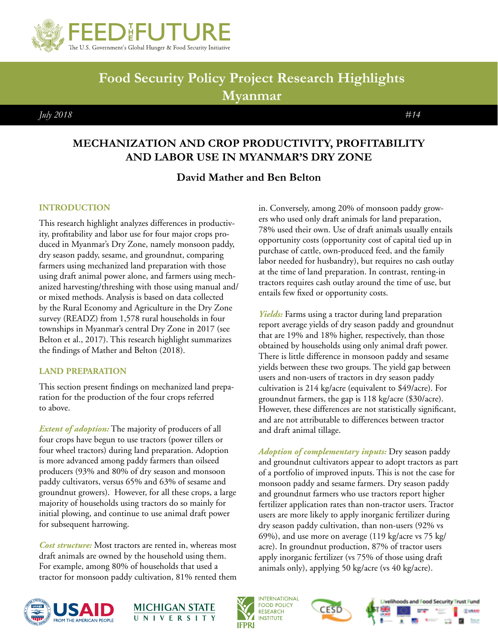

# **Food Security Policy Project Research Highlights Myanmar**

 *July 2018 #14*

# **MECHANIZATION AND CROP PRODUCTIVITY, PROFITABILITY AND LABOR USE IN MYANMAR'S DRY ZONE**

# **David Mather and Ben Belton**

# **INTRODUCTION**

This research highlight analyzes differences in productivity, profitability and labor use for four major crops produced in Myanmar's Dry Zone, namely monsoon paddy, dry season paddy, sesame, and groundnut, comparing farmers using mechanized land preparation with those using draft animal power alone, and farmers using mechanized harvesting/threshing with those using manual and/ or mixed methods. Analysis is based on data collected by the Rural Economy and Agriculture in the Dry Zone survey (READZ) from 1,578 rural households in four townships in Myanmar's central Dry Zone in 2017 (see Belton et al., 2017). This research highlight summarizes the findings of Mather and Belton (2018).

## **LAND PREPARATION**

This section present findings on mechanized land preparation for the production of the four crops referred to above.

*Extent of adoption:* The majority of producers of all four crops have begun to use tractors (power tillers or four wheel tractors) during land preparation. Adoption is more advanced among paddy farmers than oilseed producers (93% and 80% of dry season and monsoon paddy cultivators, versus 65% and 63% of sesame and groundnut growers). However, for all these crops, a large majority of households using tractors do so mainly for initial plowing, and continue to use animal draft power for subsequent harrowing.

*Cost structure:* Most tractors are rented in, whereas most draft animals are owned by the household using them. For example, among 80% of households that used a tractor for monsoon paddy cultivation, 81% rented them in. Conversely, among 20% of monsoon paddy growers who used only draft animals for land preparation, 78% used their own. Use of draft animals usually entails opportunity costs (opportunity cost of capital tied up in purchase of cattle, own-produced feed, and the family labor needed for husbandry), but requires no cash outlay at the time of land preparation. In contrast, renting-in tractors requires cash outlay around the time of use, but entails few fixed or opportunity costs.

*Yields:* Farms using a tractor during land preparation report average yields of dry season paddy and groundnut that are 19% and 18% higher, respectively, than those obtained by households using only animal draft power. There is little difference in monsoon paddy and sesame yields between these two groups. The yield gap between users and non-users of tractors in dry season paddy cultivation is 214 kg/acre (equivalent to \$49/acre). For groundnut farmers, the gap is 118 kg/acre (\$30/acre). However, these differences are not statistically significant, and are not attributable to differences between tractor and draft animal tillage.

*Adoption of complementary inputs:* Dry season paddy and groundnut cultivators appear to adopt tractors as part of a portfolio of improved inputs. This is not the case for monsoon paddy and sesame farmers. Dry season paddy and groundnut farmers who use tractors report higher fertilizer application rates than non-tractor users. Tractor users are more likely to apply inorganic fertilizer during dry season paddy cultivation, than non-users (92% vs 69%), and use more on average (119 kg/acre vs 75 kg/ acre). In groundnut production, 87% of tractor users apply inorganic fertilizer (vs 75% of those using draft animals only), applying 50 kg/acre (vs 40 kg/acre).











**CUSAR**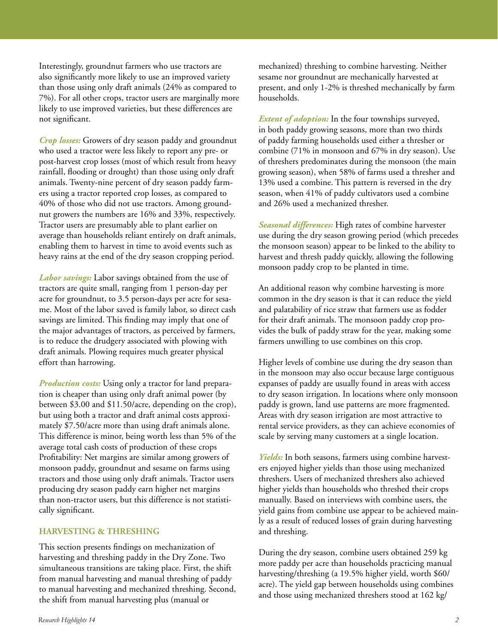Interestingly, groundnut farmers who use tractors are also significantly more likely to use an improved variety than those using only draft animals (24% as compared to 7%). For all other crops, tractor users are marginally more likely to use improved varieties, but these differences are not significant.

*Crop losses:* Growers of dry season paddy and groundnut who used a tractor were less likely to report any pre- or post-harvest crop losses (most of which result from heavy rainfall, flooding or drought) than those using only draft animals. Twenty-nine percent of dry season paddy farmers using a tractor reported crop losses, as compared to 40% of those who did not use tractors. Among groundnut growers the numbers are 16% and 33%, respectively. Tractor users are presumably able to plant earlier on average than households reliant entirely on draft animals, enabling them to harvest in time to avoid events such as heavy rains at the end of the dry season cropping period.

*Labor savings:* Labor savings obtained from the use of tractors are quite small, ranging from 1 person-day per acre for groundnut, to 3.5 person-days per acre for sesame. Most of the labor saved is family labor, so direct cash savings are limited. This finding may imply that one of the major advantages of tractors, as perceived by farmers, is to reduce the drudgery associated with plowing with draft animals. Plowing requires much greater physical effort than harrowing.

*Production costs:* Using only a tractor for land preparation is cheaper than using only draft animal power (by between \$3.00 and \$11.50/acre, depending on the crop), but using both a tractor and draft animal costs approximately \$7.50/acre more than using draft animals alone. This difference is minor, being worth less than 5% of the average total cash costs of production of these crops Profitability: Net margins are similar among growers of monsoon paddy, groundnut and sesame on farms using tractors and those using only draft animals. Tractor users producing dry season paddy earn higher net margins than non-tractor users, but this difference is not statistically significant.

#### **HARVESTING & THRESHING**

This section presents findings on mechanization of harvesting and threshing paddy in the Dry Zone. Two simultaneous transitions are taking place. First, the shift from manual harvesting and manual threshing of paddy to manual harvesting and mechanized threshing. Second, the shift from manual harvesting plus (manual or

*Extent of adoption:* In the four townships surveyed, in both paddy growing seasons, more than two thirds of paddy farming households used either a thresher or combine (71% in monsoon and 67% in dry season). Use of threshers predominates during the monsoon (the main growing season), when 58% of farms used a thresher and 13% used a combine. This pattern is reversed in the dry season, when 41% of paddy cultivators used a combine and 26% used a mechanized thresher.

*Seasonal differences:* High rates of combine harvester use during the dry season growing period (which precedes the monsoon season) appear to be linked to the ability to harvest and thresh paddy quickly, allowing the following monsoon paddy crop to be planted in time.

An additional reason why combine harvesting is more common in the dry season is that it can reduce the yield and palatability of rice straw that farmers use as fodder for their draft animals. The monsoon paddy crop provides the bulk of paddy straw for the year, making some farmers unwilling to use combines on this crop.

Higher levels of combine use during the dry season than in the monsoon may also occur because large contiguous expanses of paddy are usually found in areas with access to dry season irrigation. In locations where only monsoon paddy is grown, land use patterns are more fragmented. Areas with dry season irrigation are most attractive to rental service providers, as they can achieve economies of scale by serving many customers at a single location.

*Yields:* In both seasons, farmers using combine harvesters enjoyed higher yields than those using mechanized threshers. Users of mechanized threshers also achieved higher yields than households who threshed their crops manually. Based on interviews with combine users, the yield gains from combine use appear to be achieved mainly as a result of reduced losses of grain during harvesting and threshing.

During the dry season, combine users obtained 259 kg more paddy per acre than households practicing manual harvesting/threshing (a 19.5% higher yield, worth \$60/ acre). The yield gap between households using combines and those using mechanized threshers stood at 162 kg/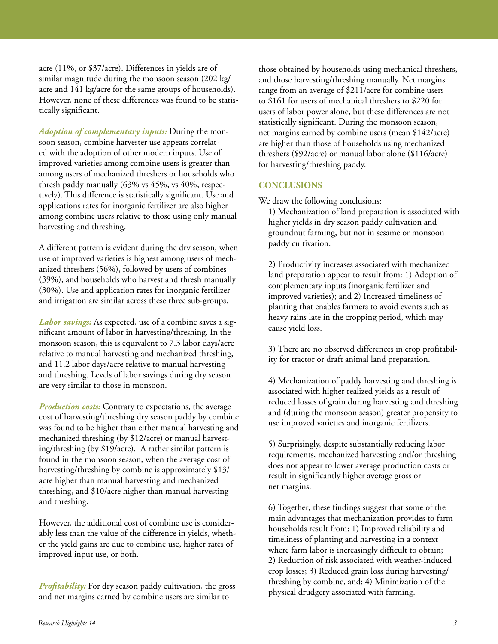acre (11%, or \$37/acre). Differences in yields are of similar magnitude during the monsoon season (202 kg/ acre and 141 kg/acre for the same groups of households). However, none of these differences was found to be statistically significant.

*Adoption of complementary inputs:* During the monsoon season, combine harvester use appears correlated with the adoption of other modern inputs. Use of improved varieties among combine users is greater than among users of mechanized threshers or households who thresh paddy manually (63% vs 45%, vs 40%, respectively). This difference is statistically significant. Use and applications rates for inorganic fertilizer are also higher among combine users relative to those using only manual harvesting and threshing.

A different pattern is evident during the dry season, when use of improved varieties is highest among users of mechanized threshers (56%), followed by users of combines (39%), and households who harvest and thresh manually (30%). Use and application rates for inorganic fertilizer and irrigation are similar across these three sub-groups.

*Labor savings:* As expected, use of a combine saves a significant amount of labor in harvesting/threshing. In the monsoon season, this is equivalent to 7.3 labor days/acre relative to manual harvesting and mechanized threshing, and 11.2 labor days/acre relative to manual harvesting and threshing. Levels of labor savings during dry season are very similar to those in monsoon.

*Production costs:* Contrary to expectations, the average cost of harvesting/threshing dry season paddy by combine was found to be higher than either manual harvesting and mechanized threshing (by \$12/acre) or manual harvesting/threshing (by \$19/acre). A rather similar pattern is found in the monsoon season, when the average cost of harvesting/threshing by combine is approximately \$13/ acre higher than manual harvesting and mechanized threshing, and \$10/acre higher than manual harvesting and threshing.

However, the additional cost of combine use is considerably less than the value of the difference in yields, whether the yield gains are due to combine use, higher rates of improved input use, or both.

*Profitability:* For dry season paddy cultivation, the gross and net margins earned by combine users are similar to

those obtained by households using mechanical threshers, and those harvesting/threshing manually. Net margins range from an average of \$211/acre for combine users to \$161 for users of mechanical threshers to \$220 for users of labor power alone, but these differences are not statistically significant. During the monsoon season, net margins earned by combine users (mean \$142/acre) are higher than those of households using mechanized threshers (\$92/acre) or manual labor alone (\$116/acre) for harvesting/threshing paddy.

## **CONCLUSIONS**

We draw the following conclusions:

1) Mechanization of land preparation is associated with higher yields in dry season paddy cultivation and groundnut farming, but not in sesame or monsoon paddy cultivation.

2) Productivity increases associated with mechanized land preparation appear to result from: 1) Adoption of complementary inputs (inorganic fertilizer and improved varieties); and 2) Increased timeliness of planting that enables farmers to avoid events such as heavy rains late in the cropping period, which may cause yield loss.

3) There are no observed differences in crop profitability for tractor or draft animal land preparation.

4) Mechanization of paddy harvesting and threshing is associated with higher realized yields as a result of reduced losses of grain during harvesting and threshing and (during the monsoon season) greater propensity to use improved varieties and inorganic fertilizers.

5) Surprisingly, despite substantially reducing labor requirements, mechanized harvesting and/or threshing does not appear to lower average production costs or result in significantly higher average gross or net margins.

6) Together, these findings suggest that some of the main advantages that mechanization provides to farm households result from: 1) Improved reliability and timeliness of planting and harvesting in a context where farm labor is increasingly difficult to obtain; 2) Reduction of risk associated with weather-induced crop losses; 3) Reduced grain loss during harvesting/ threshing by combine, and; 4) Minimization of the physical drudgery associated with farming.